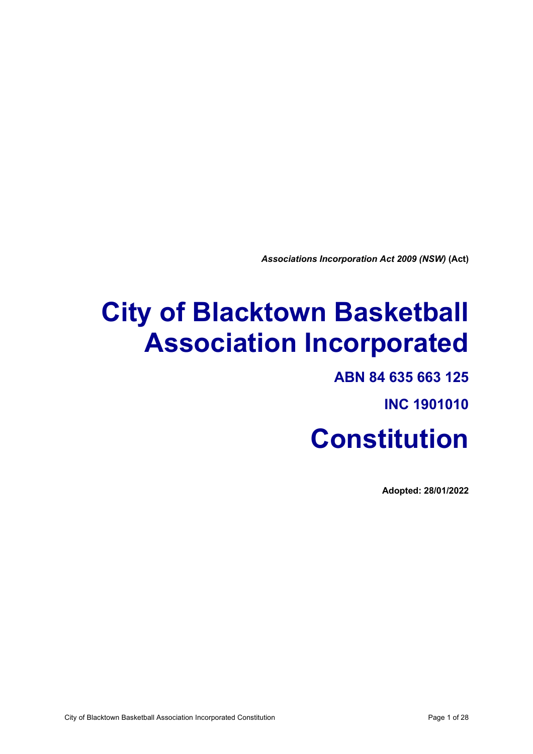*Associations Incorporation Act 2009 (NSW)* **(Act)**

# **City of Blacktown Basketball Association Incorporated**

# **ABN 84 635 663 125**

**INC 1901010**

# **Constitution**

**Adopted: 28/01/2022**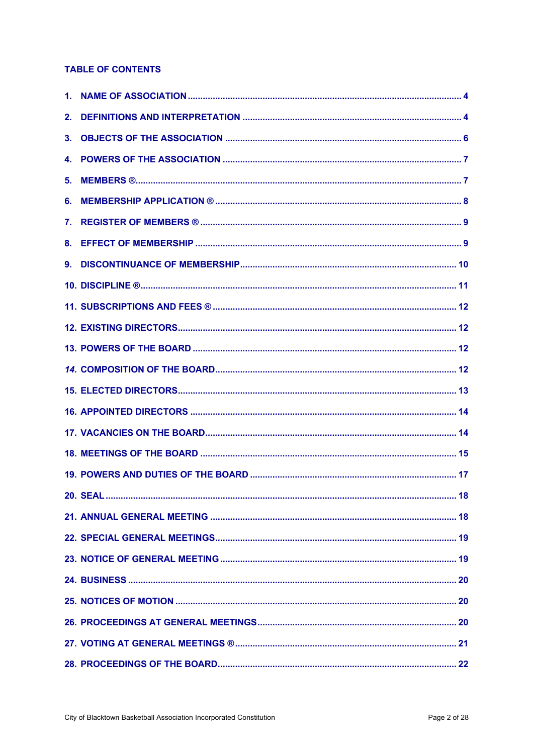# **TABLE OF CONTENTS**

| 2. |  |
|----|--|
| 3. |  |
|    |  |
|    |  |
| 6. |  |
| 7. |  |
|    |  |
| 9. |  |
|    |  |
|    |  |
|    |  |
|    |  |
|    |  |
|    |  |
|    |  |
|    |  |
|    |  |
|    |  |
|    |  |
|    |  |
|    |  |
|    |  |
|    |  |
|    |  |
|    |  |
|    |  |
|    |  |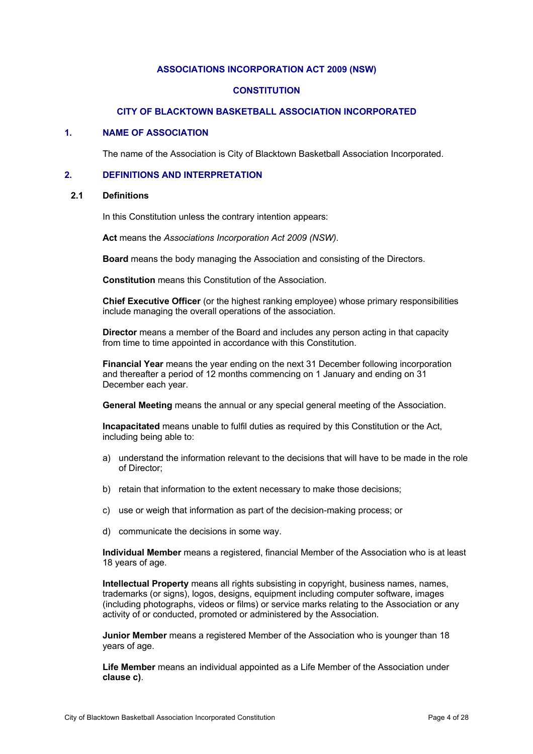# **ASSOCIATIONS INCORPORATION ACT 2009 (NSW)**

#### **CONSTITUTION**

#### **CITY OF BLACKTOWN BASKETBALL ASSOCIATION INCORPORATED**

#### **1. NAME OF ASSOCIATION**

The name of the Association is City of Blacktown Basketball Association Incorporated.

#### **2. DEFINITIONS AND INTERPRETATION**

#### **2.1 Definitions**

In this Constitution unless the contrary intention appears:

**Act** means the *Associations Incorporation Act 2009 (NSW)*.

**Board** means the body managing the Association and consisting of the Directors.

**Constitution** means this Constitution of the Association.

**Chief Executive Officer** (or the highest ranking employee) whose primary responsibilities include managing the overall operations of the association.

**Director** means a member of the Board and includes any person acting in that capacity from time to time appointed in accordance with this Constitution.

**Financial Year** means the year ending on the next 31 December following incorporation and thereafter a period of 12 months commencing on 1 January and ending on 31 December each year.

**General Meeting** means the annual or any special general meeting of the Association.

**Incapacitated** means unable to fulfil duties as required by this Constitution or the Act, including being able to:

- a) understand the information relevant to the decisions that will have to be made in the role of Director;
- b) retain that information to the extent necessary to make those decisions;
- c) use or weigh that information as part of the decision-making process; or
- d) communicate the decisions in some way.

**Individual Member** means a registered, financial Member of the Association who is at least 18 years of age.

**Intellectual Property** means all rights subsisting in copyright, business names, names, trademarks (or signs), logos, designs, equipment including computer software, images (including photographs, videos or films) or service marks relating to the Association or any activity of or conducted, promoted or administered by the Association.

**Junior Member** means a registered Member of the Association who is younger than 18 years of age.

**Life Member** means an individual appointed as a Life Member of the Association under **clause c)**.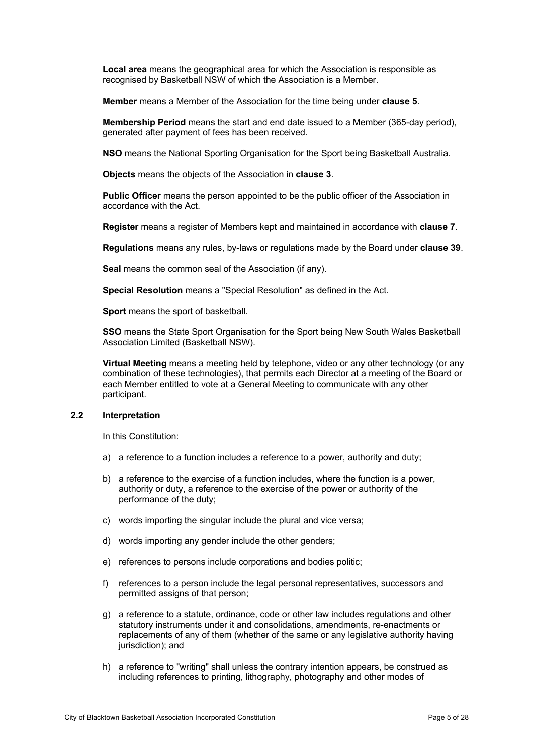**Local area** means the geographical area for which the Association is responsible as recognised by Basketball NSW of which the Association is a Member.

**Member** means a Member of the Association for the time being under **clause 5**.

**Membership Period** means the start and end date issued to a Member (365-day period), generated after payment of fees has been received.

**NSO** means the National Sporting Organisation for the Sport being Basketball Australia.

**Objects** means the objects of the Association in **clause 3**.

**Public Officer** means the person appointed to be the public officer of the Association in accordance with the Act.

**Register** means a register of Members kept and maintained in accordance with **clause 7**.

**Regulations** means any rules, by-laws or regulations made by the Board under **clause 39**.

**Seal** means the common seal of the Association (if any).

**Special Resolution** means a "Special Resolution" as defined in the Act.

**Sport** means the sport of basketball.

**SSO** means the State Sport Organisation for the Sport being New South Wales Basketball Association Limited (Basketball NSW).

**Virtual Meeting** means a meeting held by telephone, video or any other technology (or any combination of these technologies), that permits each Director at a meeting of the Board or each Member entitled to vote at a General Meeting to communicate with any other participant.

#### **2.2 Interpretation**

In this Constitution:

- a) a reference to a function includes a reference to a power, authority and duty;
- b) a reference to the exercise of a function includes, where the function is a power, authority or duty, a reference to the exercise of the power or authority of the performance of the duty;
- c) words importing the singular include the plural and vice versa;
- d) words importing any gender include the other genders;
- e) references to persons include corporations and bodies politic;
- f) references to a person include the legal personal representatives, successors and permitted assigns of that person;
- g) a reference to a statute, ordinance, code or other law includes regulations and other statutory instruments under it and consolidations, amendments, re-enactments or replacements of any of them (whether of the same or any legislative authority having jurisdiction); and
- h) a reference to "writing" shall unless the contrary intention appears, be construed as including references to printing, lithography, photography and other modes of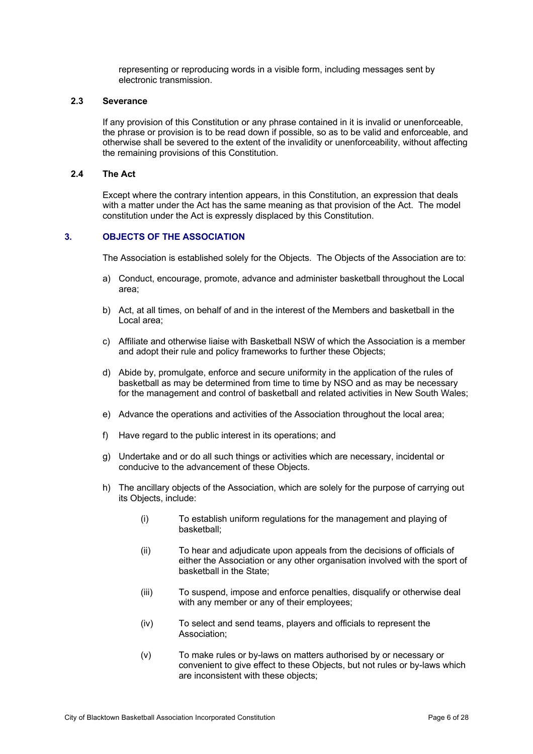representing or reproducing words in a visible form, including messages sent by electronic transmission.

#### **2.3 Severance**

If any provision of this Constitution or any phrase contained in it is invalid or unenforceable, the phrase or provision is to be read down if possible, so as to be valid and enforceable, and otherwise shall be severed to the extent of the invalidity or unenforceability, without affecting the remaining provisions of this Constitution.

#### **2.4 The Act**

Except where the contrary intention appears, in this Constitution, an expression that deals with a matter under the Act has the same meaning as that provision of the Act. The model constitution under the Act is expressly displaced by this Constitution.

#### **3. OBJECTS OF THE ASSOCIATION**

The Association is established solely for the Objects. The Objects of the Association are to:

- a) Conduct, encourage, promote, advance and administer basketball throughout the Local area;
- b) Act, at all times, on behalf of and in the interest of the Members and basketball in the Local area;
- c) Affiliate and otherwise liaise with Basketball NSW of which the Association is a member and adopt their rule and policy frameworks to further these Objects;
- d) Abide by, promulgate, enforce and secure uniformity in the application of the rules of basketball as may be determined from time to time by NSO and as may be necessary for the management and control of basketball and related activities in New South Wales;
- e) Advance the operations and activities of the Association throughout the local area;
- f) Have regard to the public interest in its operations; and
- g) Undertake and or do all such things or activities which are necessary, incidental or conducive to the advancement of these Objects.
- h) The ancillary objects of the Association, which are solely for the purpose of carrying out its Objects, include:
	- (i) To establish uniform regulations for the management and playing of basketball;
	- (ii) To hear and adjudicate upon appeals from the decisions of officials of either the Association or any other organisation involved with the sport of basketball in the State;
	- (iii) To suspend, impose and enforce penalties, disqualify or otherwise deal with any member or any of their employees;
	- (iv) To select and send teams, players and officials to represent the Association;
	- (v) To make rules or by-laws on matters authorised by or necessary or convenient to give effect to these Objects, but not rules or by-laws which are inconsistent with these objects;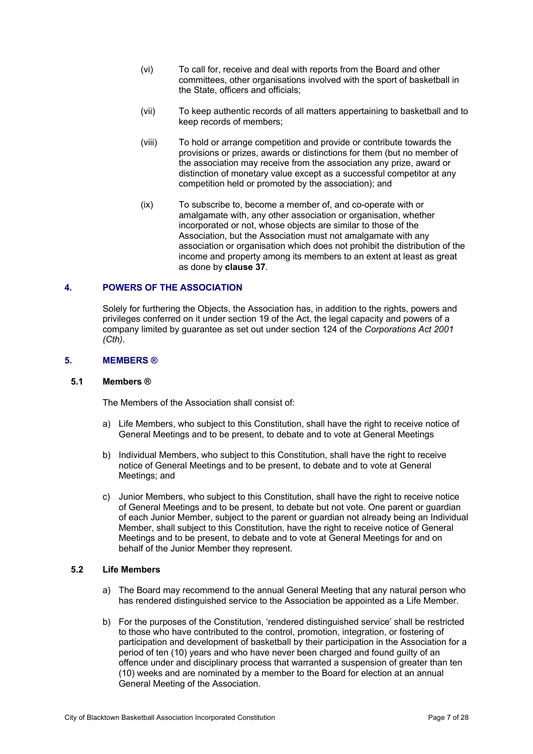- (vi) To call for, receive and deal with reports from the Board and other committees, other organisations involved with the sport of basketball in the State, officers and officials;
- (vii) To keep authentic records of all matters appertaining to basketball and to keep records of members;
- (viii) To hold or arrange competition and provide or contribute towards the provisions or prizes, awards or distinctions for them (but no member of the association may receive from the association any prize, award or distinction of monetary value except as a successful competitor at any competition held or promoted by the association); and
- (ix) To subscribe to, become a member of, and co-operate with or amalgamate with, any other association or organisation, whether incorporated or not, whose objects are similar to those of the Association, but the Association must not amalgamate with any association or organisation which does not prohibit the distribution of the income and property among its members to an extent at least as great as done by **clause 37**.

#### **4. POWERS OF THE ASSOCIATION**

Solely for furthering the Objects, the Association has, in addition to the rights, powers and privileges conferred on it under section 19 of the Act, the legal capacity and powers of a company limited by guarantee as set out under section 124 of the *Corporations Act 2001 (Cth)*.

#### **5. MEMBERS ®**

#### **5.1 Members ®**

The Members of the Association shall consist of:

- a) Life Members, who subject to this Constitution, shall have the right to receive notice of General Meetings and to be present, to debate and to vote at General Meetings
- b) Individual Members, who subject to this Constitution, shall have the right to receive notice of General Meetings and to be present, to debate and to vote at General Meetings; and
- c) Junior Members, who subject to this Constitution, shall have the right to receive notice of General Meetings and to be present, to debate but not vote. One parent or guardian of each Junior Member, subject to the parent or guardian not already being an Individual Member, shall subject to this Constitution, have the right to receive notice of General Meetings and to be present, to debate and to vote at General Meetings for and on behalf of the Junior Member they represent.

#### **5.2 Life Members**

- a) The Board may recommend to the annual General Meeting that any natural person who has rendered distinguished service to the Association be appointed as a Life Member.
- b) For the purposes of the Constitution, 'rendered distinguished service' shall be restricted to those who have contributed to the control, promotion, integration, or fostering of participation and development of basketball by their participation in the Association for a period of ten (10) years and who have never been charged and found guilty of an offence under and disciplinary process that warranted a suspension of greater than ten (10) weeks and are nominated by a member to the Board for election at an annual General Meeting of the Association.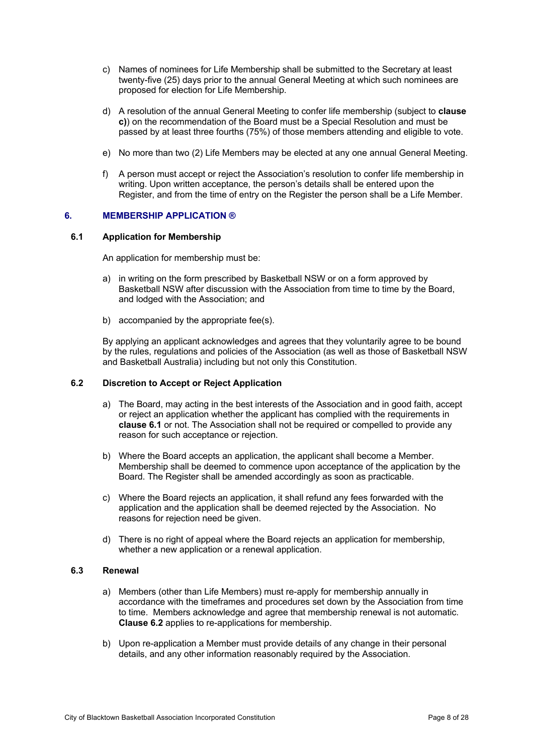- c) Names of nominees for Life Membership shall be submitted to the Secretary at least twenty-five (25) days prior to the annual General Meeting at which such nominees are proposed for election for Life Membership.
- d) A resolution of the annual General Meeting to confer life membership (subject to **clause c)**) on the recommendation of the Board must be a Special Resolution and must be passed by at least three fourths (75%) of those members attending and eligible to vote.
- e) No more than two (2) Life Members may be elected at any one annual General Meeting.
- f) A person must accept or reject the Association's resolution to confer life membership in writing. Upon written acceptance, the person's details shall be entered upon the Register, and from the time of entry on the Register the person shall be a Life Member.

# **6. MEMBERSHIP APPLICATION ®**

#### **6.1 Application for Membership**

An application for membership must be:

- a) in writing on the form prescribed by Basketball NSW or on a form approved by Basketball NSW after discussion with the Association from time to time by the Board, and lodged with the Association; and
- b) accompanied by the appropriate fee(s).

By applying an applicant acknowledges and agrees that they voluntarily agree to be bound by the rules, regulations and policies of the Association (as well as those of Basketball NSW and Basketball Australia) including but not only this Constitution.

#### **6.2 Discretion to Accept or Reject Application**

- a) The Board, may acting in the best interests of the Association and in good faith, accept or reject an application whether the applicant has complied with the requirements in **clause 6.1** or not. The Association shall not be required or compelled to provide any reason for such acceptance or rejection.
- b) Where the Board accepts an application, the applicant shall become a Member. Membership shall be deemed to commence upon acceptance of the application by the Board. The Register shall be amended accordingly as soon as practicable.
- c) Where the Board rejects an application, it shall refund any fees forwarded with the application and the application shall be deemed rejected by the Association. No reasons for rejection need be given.
- d) There is no right of appeal where the Board rejects an application for membership, whether a new application or a renewal application.

#### **6.3 Renewal**

- a) Members (other than Life Members) must re-apply for membership annually in accordance with the timeframes and procedures set down by the Association from time to time. Members acknowledge and agree that membership renewal is not automatic. **Clause 6.2** applies to re-applications for membership.
- b) Upon re-application a Member must provide details of any change in their personal details, and any other information reasonably required by the Association.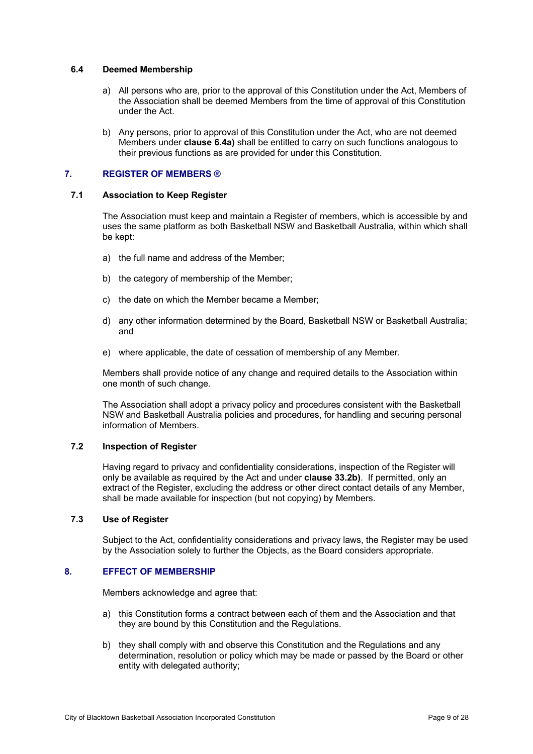#### **6.4 Deemed Membership**

- a) All persons who are, prior to the approval of this Constitution under the Act, Members of the Association shall be deemed Members from the time of approval of this Constitution under the Act.
- b) Any persons, prior to approval of this Constitution under the Act, who are not deemed Members under **clause 6.4a)** shall be entitled to carry on such functions analogous to their previous functions as are provided for under this Constitution.

# **7. REGISTER OF MEMBERS ®**

#### **7.1 Association to Keep Register**

The Association must keep and maintain a Register of members, which is accessible by and uses the same platform as both Basketball NSW and Basketball Australia, within which shall be kept:

- a) the full name and address of the Member;
- b) the category of membership of the Member;
- c) the date on which the Member became a Member;
- d) any other information determined by the Board, Basketball NSW or Basketball Australia; and
- e) where applicable, the date of cessation of membership of any Member.

Members shall provide notice of any change and required details to the Association within one month of such change.

The Association shall adopt a privacy policy and procedures consistent with the Basketball NSW and Basketball Australia policies and procedures, for handling and securing personal information of Members.

# **7.2 Inspection of Register**

Having regard to privacy and confidentiality considerations, inspection of the Register will only be available as required by the Act and under **clause 33.2b)**. If permitted, only an extract of the Register, excluding the address or other direct contact details of any Member, shall be made available for inspection (but not copying) by Members.

### **7.3 Use of Register**

Subject to the Act, confidentiality considerations and privacy laws, the Register may be used by the Association solely to further the Objects, as the Board considers appropriate.

#### **8. EFFECT OF MEMBERSHIP**

Members acknowledge and agree that:

- a) this Constitution forms a contract between each of them and the Association and that they are bound by this Constitution and the Regulations.
- b) they shall comply with and observe this Constitution and the Regulations and any determination, resolution or policy which may be made or passed by the Board or other entity with delegated authority;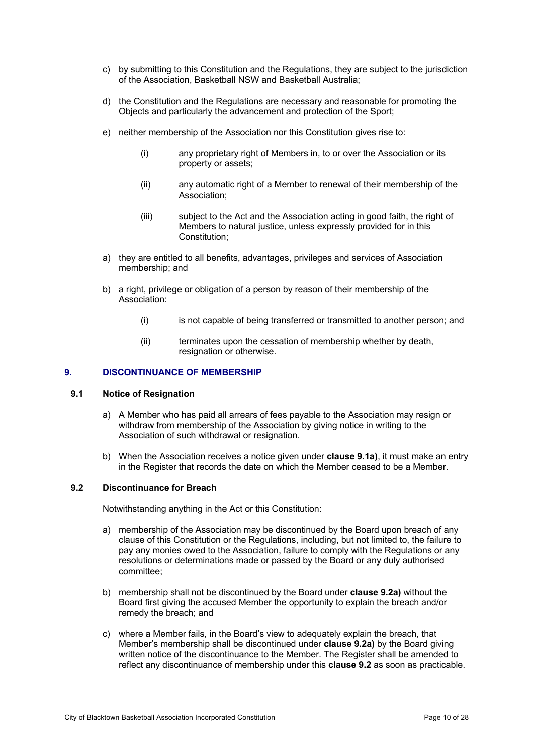- c) by submitting to this Constitution and the Regulations, they are subject to the jurisdiction of the Association, Basketball NSW and Basketball Australia;
- d) the Constitution and the Regulations are necessary and reasonable for promoting the Objects and particularly the advancement and protection of the Sport;
- e) neither membership of the Association nor this Constitution gives rise to:
	- (i) any proprietary right of Members in, to or over the Association or its property or assets;
	- (ii) any automatic right of a Member to renewal of their membership of the Association;
	- (iii) subject to the Act and the Association acting in good faith, the right of Members to natural justice, unless expressly provided for in this Constitution;
- a) they are entitled to all benefits, advantages, privileges and services of Association membership; and
- b) a right, privilege or obligation of a person by reason of their membership of the Association:
	- (i) is not capable of being transferred or transmitted to another person; and
	- (ii) terminates upon the cessation of membership whether by death, resignation or otherwise.

#### **9. DISCONTINUANCE OF MEMBERSHIP**

#### **9.1 Notice of Resignation**

- a) A Member who has paid all arrears of fees payable to the Association may resign or withdraw from membership of the Association by giving notice in writing to the Association of such withdrawal or resignation.
- b) When the Association receives a notice given under **clause 9.1a)**, it must make an entry in the Register that records the date on which the Member ceased to be a Member.

#### **9.2 Discontinuance for Breach**

Notwithstanding anything in the Act or this Constitution:

- a) membership of the Association may be discontinued by the Board upon breach of any clause of this Constitution or the Regulations, including, but not limited to, the failure to pay any monies owed to the Association, failure to comply with the Regulations or any resolutions or determinations made or passed by the Board or any duly authorised committee;
- b) membership shall not be discontinued by the Board under **clause 9.2a)** without the Board first giving the accused Member the opportunity to explain the breach and/or remedy the breach; and
- c) where a Member fails, in the Board's view to adequately explain the breach, that Member's membership shall be discontinued under **clause 9.2a)** by the Board giving written notice of the discontinuance to the Member. The Register shall be amended to reflect any discontinuance of membership under this **clause 9.2** as soon as practicable.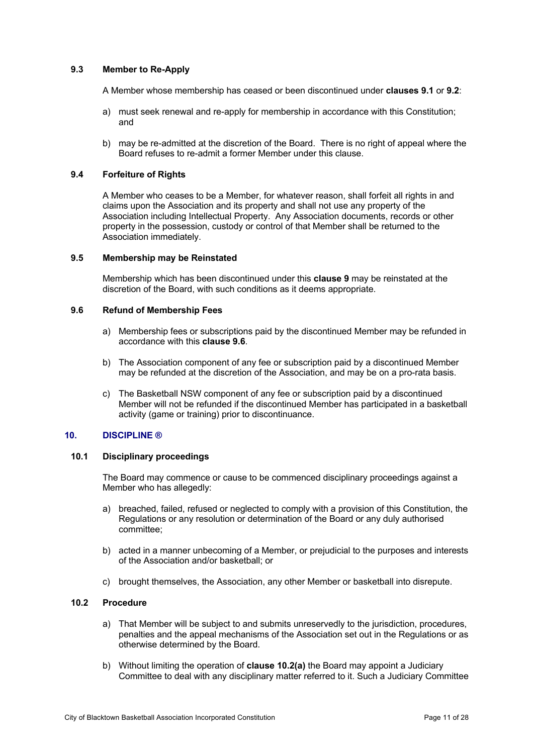# **9.3 Member to Re-Apply**

A Member whose membership has ceased or been discontinued under **clauses 9.1** or **9.2**:

- a) must seek renewal and re-apply for membership in accordance with this Constitution; and
- b) may be re-admitted at the discretion of the Board. There is no right of appeal where the Board refuses to re-admit a former Member under this clause.

#### **9.4 Forfeiture of Rights**

A Member who ceases to be a Member, for whatever reason, shall forfeit all rights in and claims upon the Association and its property and shall not use any property of the Association including Intellectual Property. Any Association documents, records or other property in the possession, custody or control of that Member shall be returned to the Association immediately.

#### **9.5 Membership may be Reinstated**

Membership which has been discontinued under this **clause 9** may be reinstated at the discretion of the Board, with such conditions as it deems appropriate.

#### **9.6 Refund of Membership Fees**

- a) Membership fees or subscriptions paid by the discontinued Member may be refunded in accordance with this **clause 9.6**.
- b) The Association component of any fee or subscription paid by a discontinued Member may be refunded at the discretion of the Association, and may be on a pro-rata basis.
- c) The Basketball NSW component of any fee or subscription paid by a discontinued Member will not be refunded if the discontinued Member has participated in a basketball activity (game or training) prior to discontinuance.

### **10. DISCIPLINE ®**

# **10.1 Disciplinary proceedings**

The Board may commence or cause to be commenced disciplinary proceedings against a Member who has allegedly:

- a) breached, failed, refused or neglected to comply with a provision of this Constitution, the Regulations or any resolution or determination of the Board or any duly authorised committee;
- b) acted in a manner unbecoming of a Member, or prejudicial to the purposes and interests of the Association and/or basketball; or
- c) brought themselves, the Association, any other Member or basketball into disrepute.

#### **10.2 Procedure**

- a) That Member will be subject to and submits unreservedly to the jurisdiction, procedures, penalties and the appeal mechanisms of the Association set out in the Regulations or as otherwise determined by the Board.
- b) Without limiting the operation of **clause 10.2(a)** the Board may appoint a Judiciary Committee to deal with any disciplinary matter referred to it. Such a Judiciary Committee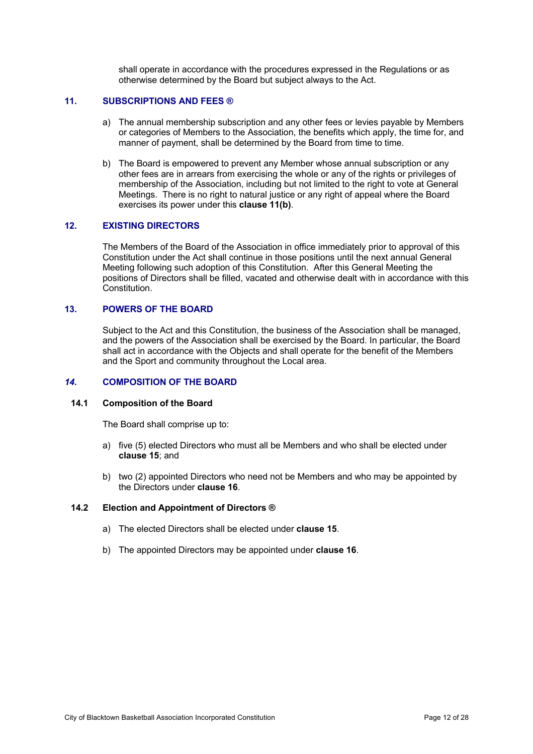shall operate in accordance with the procedures expressed in the Regulations or as otherwise determined by the Board but subject always to the Act.

#### **11. SUBSCRIPTIONS AND FEES ®**

- a) The annual membership subscription and any other fees or levies payable by Members or categories of Members to the Association, the benefits which apply, the time for, and manner of payment, shall be determined by the Board from time to time.
- b) The Board is empowered to prevent any Member whose annual subscription or any other fees are in arrears from exercising the whole or any of the rights or privileges of membership of the Association, including but not limited to the right to vote at General Meetings. There is no right to natural justice or any right of appeal where the Board exercises its power under this **clause 11(b)**.

#### **12. EXISTING DIRECTORS**

The Members of the Board of the Association in office immediately prior to approval of this Constitution under the Act shall continue in those positions until the next annual General Meeting following such adoption of this Constitution. After this General Meeting the positions of Directors shall be filled, vacated and otherwise dealt with in accordance with this Constitution.

#### **13. POWERS OF THE BOARD**

Subject to the Act and this Constitution, the business of the Association shall be managed, and the powers of the Association shall be exercised by the Board. In particular, the Board shall act in accordance with the Objects and shall operate for the benefit of the Members and the Sport and community throughout the Local area.

#### *14.* **COMPOSITION OF THE BOARD**

#### **14.1 Composition of the Board**

The Board shall comprise up to:

- a) five (5) elected Directors who must all be Members and who shall be elected under **clause 15**; and
- b) two (2) appointed Directors who need not be Members and who may be appointed by the Directors under **clause 16**.

#### **14.2 Election and Appointment of Directors ®**

- a) The elected Directors shall be elected under **clause 15**.
- b) The appointed Directors may be appointed under **clause 16**.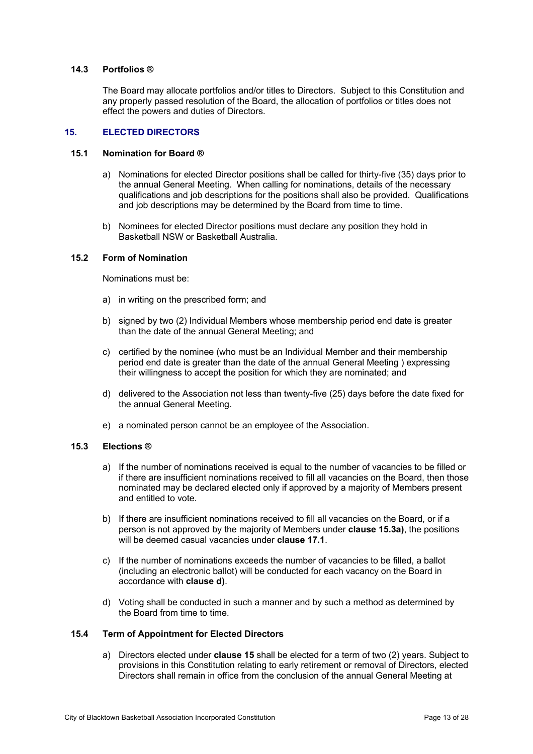#### **14.3 Portfolios ®**

The Board may allocate portfolios and/or titles to Directors. Subject to this Constitution and any properly passed resolution of the Board, the allocation of portfolios or titles does not effect the powers and duties of Directors.

#### **15. ELECTED DIRECTORS**

#### **15.1 Nomination for Board ®**

- a) Nominations for elected Director positions shall be called for thirty-five (35) days prior to the annual General Meeting. When calling for nominations, details of the necessary qualifications and job descriptions for the positions shall also be provided. Qualifications and job descriptions may be determined by the Board from time to time.
- b) Nominees for elected Director positions must declare any position they hold in Basketball NSW or Basketball Australia.

#### **15.2 Form of Nomination**

Nominations must be:

- a) in writing on the prescribed form; and
- b) signed by two (2) Individual Members whose membership period end date is greater than the date of the annual General Meeting; and
- c) certified by the nominee (who must be an Individual Member and their membership period end date is greater than the date of the annual General Meeting ) expressing their willingness to accept the position for which they are nominated; and
- d) delivered to the Association not less than twenty-five (25) days before the date fixed for the annual General Meeting.
- e) a nominated person cannot be an employee of the Association.

#### **15.3 Elections ®**

- a) If the number of nominations received is equal to the number of vacancies to be filled or if there are insufficient nominations received to fill all vacancies on the Board, then those nominated may be declared elected only if approved by a majority of Members present and entitled to vote.
- b) If there are insufficient nominations received to fill all vacancies on the Board, or if a person is not approved by the majority of Members under **clause 15.3a)**, the positions will be deemed casual vacancies under **clause 17.1**.
- c) If the number of nominations exceeds the number of vacancies to be filled, a ballot (including an electronic ballot) will be conducted for each vacancy on the Board in accordance with **clause d)**.
- d) Voting shall be conducted in such a manner and by such a method as determined by the Board from time to time.

#### **15.4 Term of Appointment for Elected Directors**

a) Directors elected under **clause 15** shall be elected for a term of two (2) years. Subject to provisions in this Constitution relating to early retirement or removal of Directors, elected Directors shall remain in office from the conclusion of the annual General Meeting at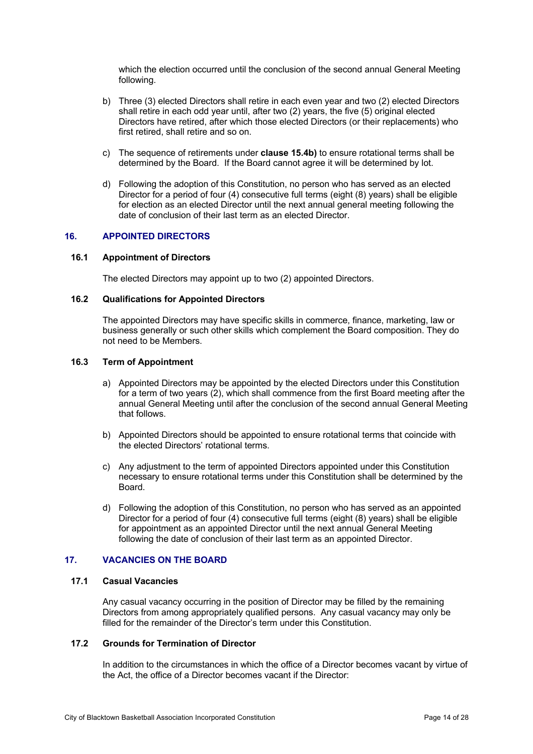which the election occurred until the conclusion of the second annual General Meeting following.

- b) Three (3) elected Directors shall retire in each even year and two (2) elected Directors shall retire in each odd year until, after two (2) years, the five (5) original elected Directors have retired, after which those elected Directors (or their replacements) who first retired, shall retire and so on.
- c) The sequence of retirements under **clause 15.4b)** to ensure rotational terms shall be determined by the Board. If the Board cannot agree it will be determined by lot.
- d) Following the adoption of this Constitution, no person who has served as an elected Director for a period of four (4) consecutive full terms (eight (8) years) shall be eligible for election as an elected Director until the next annual general meeting following the date of conclusion of their last term as an elected Director.

#### **16. APPOINTED DIRECTORS**

#### **16.1 Appointment of Directors**

The elected Directors may appoint up to two (2) appointed Directors.

# **16.2 Qualifications for Appointed Directors**

The appointed Directors may have specific skills in commerce, finance, marketing, law or business generally or such other skills which complement the Board composition. They do not need to be Members.

#### **16.3 Term of Appointment**

- a) Appointed Directors may be appointed by the elected Directors under this Constitution for a term of two years (2), which shall commence from the first Board meeting after the annual General Meeting until after the conclusion of the second annual General Meeting that follows.
- b) Appointed Directors should be appointed to ensure rotational terms that coincide with the elected Directors' rotational terms.
- c) Any adjustment to the term of appointed Directors appointed under this Constitution necessary to ensure rotational terms under this Constitution shall be determined by the Board.
- d) Following the adoption of this Constitution, no person who has served as an appointed Director for a period of four (4) consecutive full terms (eight (8) years) shall be eligible for appointment as an appointed Director until the next annual General Meeting following the date of conclusion of their last term as an appointed Director.

#### **17. VACANCIES ON THE BOARD**

#### **17.1 Casual Vacancies**

Any casual vacancy occurring in the position of Director may be filled by the remaining Directors from among appropriately qualified persons. Any casual vacancy may only be filled for the remainder of the Director's term under this Constitution.

# **17.2 Grounds for Termination of Director**

In addition to the circumstances in which the office of a Director becomes vacant by virtue of the Act, the office of a Director becomes vacant if the Director: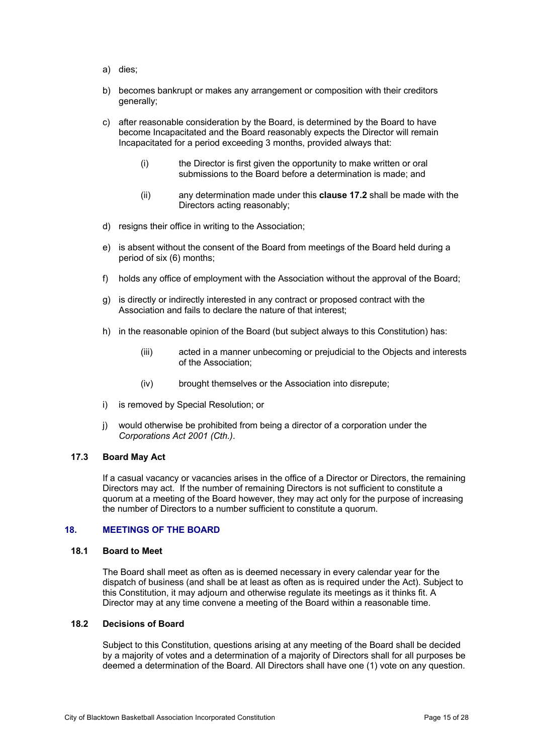- a) dies;
- b) becomes bankrupt or makes any arrangement or composition with their creditors generally;
- c) after reasonable consideration by the Board, is determined by the Board to have become Incapacitated and the Board reasonably expects the Director will remain Incapacitated for a period exceeding 3 months, provided always that:
	- (i) the Director is first given the opportunity to make written or oral submissions to the Board before a determination is made; and
	- (ii) any determination made under this **clause 17.2** shall be made with the Directors acting reasonably;
- d) resigns their office in writing to the Association;
- e) is absent without the consent of the Board from meetings of the Board held during a period of six (6) months;
- f) holds any office of employment with the Association without the approval of the Board;
- g) is directly or indirectly interested in any contract or proposed contract with the Association and fails to declare the nature of that interest;
- h) in the reasonable opinion of the Board (but subject always to this Constitution) has:
	- (iii) acted in a manner unbecoming or prejudicial to the Objects and interests of the Association;
	- (iv) brought themselves or the Association into disrepute;
- i) is removed by Special Resolution; or
- j) would otherwise be prohibited from being a director of a corporation under the *Corporations Act 2001 (Cth.)*.

# **17.3 Board May Act**

If a casual vacancy or vacancies arises in the office of a Director or Directors, the remaining Directors may act. If the number of remaining Directors is not sufficient to constitute a quorum at a meeting of the Board however, they may act only for the purpose of increasing the number of Directors to a number sufficient to constitute a quorum.

# **18. MEETINGS OF THE BOARD**

#### **18.1 Board to Meet**

The Board shall meet as often as is deemed necessary in every calendar year for the dispatch of business (and shall be at least as often as is required under the Act). Subject to this Constitution, it may adjourn and otherwise regulate its meetings as it thinks fit. A Director may at any time convene a meeting of the Board within a reasonable time.

#### **18.2 Decisions of Board**

Subject to this Constitution, questions arising at any meeting of the Board shall be decided by a majority of votes and a determination of a majority of Directors shall for all purposes be deemed a determination of the Board. All Directors shall have one (1) vote on any question.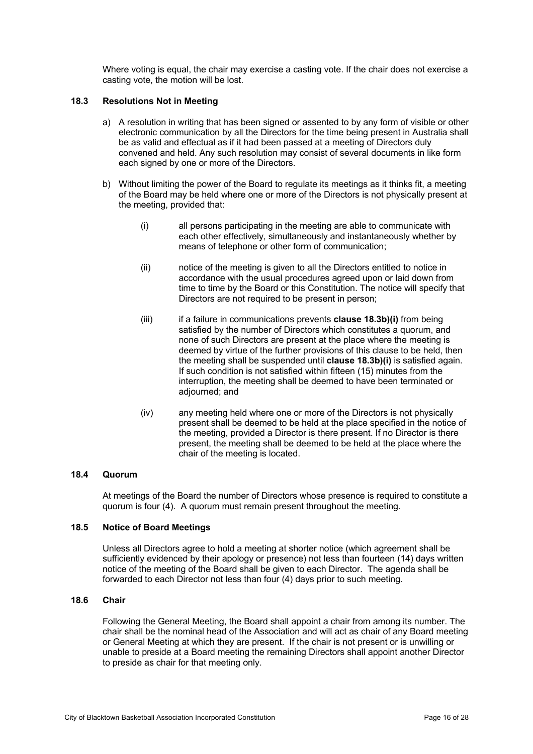Where voting is equal, the chair may exercise a casting vote. If the chair does not exercise a casting vote, the motion will be lost.

#### **18.3 Resolutions Not in Meeting**

- a) A resolution in writing that has been signed or assented to by any form of visible or other electronic communication by all the Directors for the time being present in Australia shall be as valid and effectual as if it had been passed at a meeting of Directors duly convened and held. Any such resolution may consist of several documents in like form each signed by one or more of the Directors.
- b) Without limiting the power of the Board to regulate its meetings as it thinks fit, a meeting of the Board may be held where one or more of the Directors is not physically present at the meeting, provided that:
	- (i) all persons participating in the meeting are able to communicate with each other effectively, simultaneously and instantaneously whether by means of telephone or other form of communication;
	- (ii) notice of the meeting is given to all the Directors entitled to notice in accordance with the usual procedures agreed upon or laid down from time to time by the Board or this Constitution. The notice will specify that Directors are not required to be present in person;
	- (iii) if a failure in communications prevents **clause 18.3b)(i)** from being satisfied by the number of Directors which constitutes a quorum, and none of such Directors are present at the place where the meeting is deemed by virtue of the further provisions of this clause to be held, then the meeting shall be suspended until **clause 18.3b)(i)** is satisfied again. If such condition is not satisfied within fifteen (15) minutes from the interruption, the meeting shall be deemed to have been terminated or adjourned; and
	- (iv) any meeting held where one or more of the Directors is not physically present shall be deemed to be held at the place specified in the notice of the meeting, provided a Director is there present. If no Director is there present, the meeting shall be deemed to be held at the place where the chair of the meeting is located.

#### **18.4 Quorum**

At meetings of the Board the number of Directors whose presence is required to constitute a quorum is four (4). A quorum must remain present throughout the meeting.

# **18.5 Notice of Board Meetings**

Unless all Directors agree to hold a meeting at shorter notice (which agreement shall be sufficiently evidenced by their apology or presence) not less than fourteen (14) days written notice of the meeting of the Board shall be given to each Director. The agenda shall be forwarded to each Director not less than four (4) days prior to such meeting.

#### **18.6 Chair**

Following the General Meeting, the Board shall appoint a chair from among its number. The chair shall be the nominal head of the Association and will act as chair of any Board meeting or General Meeting at which they are present. If the chair is not present or is unwilling or unable to preside at a Board meeting the remaining Directors shall appoint another Director to preside as chair for that meeting only.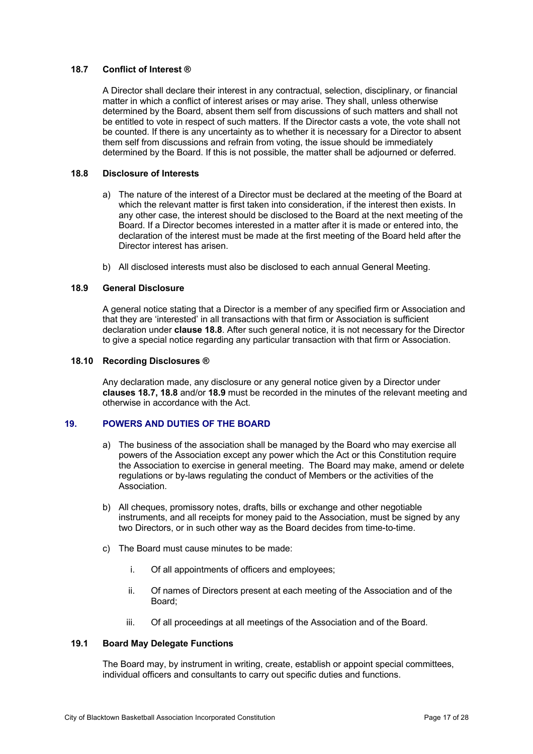# **18.7 Conflict of Interest ®**

A Director shall declare their interest in any contractual, selection, disciplinary, or financial matter in which a conflict of interest arises or may arise. They shall, unless otherwise determined by the Board, absent them self from discussions of such matters and shall not be entitled to vote in respect of such matters. If the Director casts a vote, the vote shall not be counted. If there is any uncertainty as to whether it is necessary for a Director to absent them self from discussions and refrain from voting, the issue should be immediately determined by the Board. If this is not possible, the matter shall be adjourned or deferred.

#### **18.8 Disclosure of Interests**

- a) The nature of the interest of a Director must be declared at the meeting of the Board at which the relevant matter is first taken into consideration, if the interest then exists. In any other case, the interest should be disclosed to the Board at the next meeting of the Board. If a Director becomes interested in a matter after it is made or entered into, the declaration of the interest must be made at the first meeting of the Board held after the Director interest has arisen.
- b) All disclosed interests must also be disclosed to each annual General Meeting.

# **18.9 General Disclosure**

A general notice stating that a Director is a member of any specified firm or Association and that they are 'interested' in all transactions with that firm or Association is sufficient declaration under **clause 18.8**. After such general notice, it is not necessary for the Director to give a special notice regarding any particular transaction with that firm or Association.

#### **18.10 Recording Disclosures ®**

Any declaration made, any disclosure or any general notice given by a Director under **clauses 18.7, 18.8** and/or **18.9** must be recorded in the minutes of the relevant meeting and otherwise in accordance with the Act.

### **19. POWERS AND DUTIES OF THE BOARD**

- a) The business of the association shall be managed by the Board who may exercise all powers of the Association except any power which the Act or this Constitution require the Association to exercise in general meeting. The Board may make, amend or delete regulations or by-laws regulating the conduct of Members or the activities of the Association.
- b) All cheques, promissory notes, drafts, bills or exchange and other negotiable instruments, and all receipts for money paid to the Association, must be signed by any two Directors, or in such other way as the Board decides from time-to-time.
- c) The Board must cause minutes to be made:
	- i. Of all appointments of officers and employees;
	- ii. Of names of Directors present at each meeting of the Association and of the Board;
	- iii. Of all proceedings at all meetings of the Association and of the Board.

# **19.1 Board May Delegate Functions**

The Board may, by instrument in writing, create, establish or appoint special committees, individual officers and consultants to carry out specific duties and functions.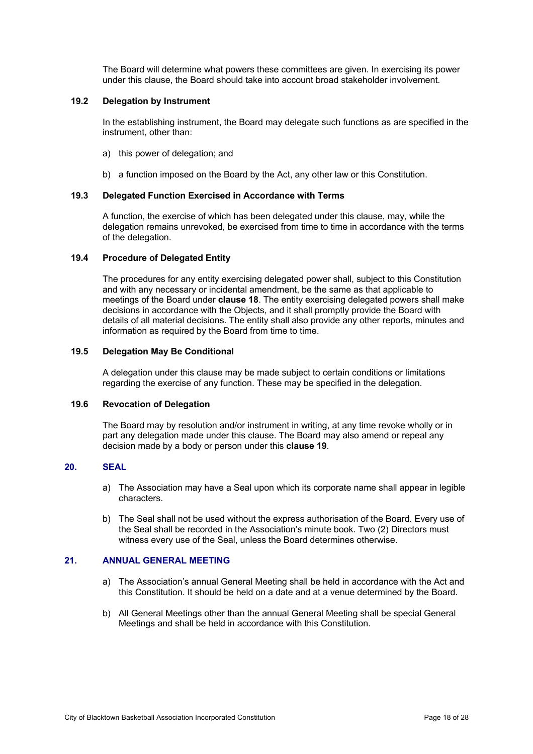The Board will determine what powers these committees are given. In exercising its power under this clause, the Board should take into account broad stakeholder involvement.

#### **19.2 Delegation by Instrument**

In the establishing instrument, the Board may delegate such functions as are specified in the instrument, other than:

- a) this power of delegation; and
- b) a function imposed on the Board by the Act, any other law or this Constitution.

# **19.3 Delegated Function Exercised in Accordance with Terms**

A function, the exercise of which has been delegated under this clause, may, while the delegation remains unrevoked, be exercised from time to time in accordance with the terms of the delegation.

# **19.4 Procedure of Delegated Entity**

The procedures for any entity exercising delegated power shall, subject to this Constitution and with any necessary or incidental amendment, be the same as that applicable to meetings of the Board under **clause 18**. The entity exercising delegated powers shall make decisions in accordance with the Objects, and it shall promptly provide the Board with details of all material decisions. The entity shall also provide any other reports, minutes and information as required by the Board from time to time.

#### **19.5 Delegation May Be Conditional**

A delegation under this clause may be made subject to certain conditions or limitations regarding the exercise of any function. These may be specified in the delegation.

#### **19.6 Revocation of Delegation**

The Board may by resolution and/or instrument in writing, at any time revoke wholly or in part any delegation made under this clause. The Board may also amend or repeal any decision made by a body or person under this **clause 19**.

# **20. SEAL**

- a) The Association may have a Seal upon which its corporate name shall appear in legible characters.
- b) The Seal shall not be used without the express authorisation of the Board. Every use of the Seal shall be recorded in the Association's minute book. Two (2) Directors must witness every use of the Seal, unless the Board determines otherwise.

# **21. ANNUAL GENERAL MEETING**

- a) The Association's annual General Meeting shall be held in accordance with the Act and this Constitution. It should be held on a date and at a venue determined by the Board.
- b) All General Meetings other than the annual General Meeting shall be special General Meetings and shall be held in accordance with this Constitution.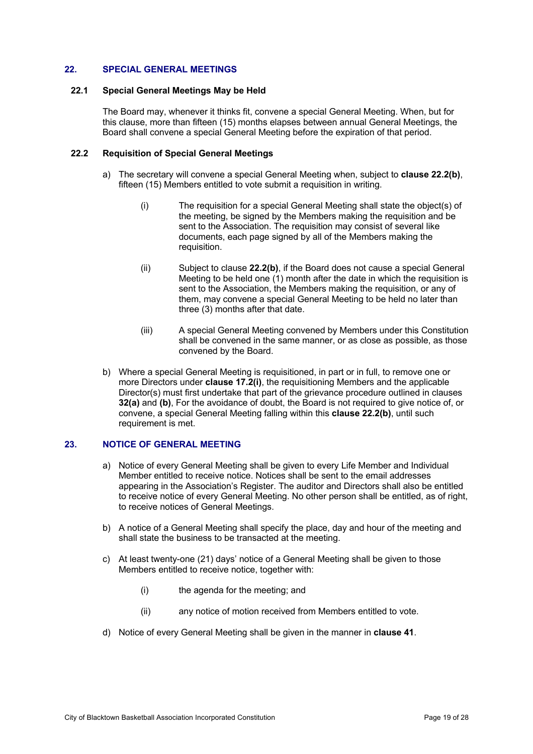# **22. SPECIAL GENERAL MEETINGS**

#### **22.1 Special General Meetings May be Held**

The Board may, whenever it thinks fit, convene a special General Meeting. When, but for this clause, more than fifteen (15) months elapses between annual General Meetings, the Board shall convene a special General Meeting before the expiration of that period.

#### **22.2 Requisition of Special General Meetings**

- a) The secretary will convene a special General Meeting when, subject to **clause 22.2(b)**, fifteen (15) Members entitled to vote submit a requisition in writing.
	- (i) The requisition for a special General Meeting shall state the object(s) of the meeting, be signed by the Members making the requisition and be sent to the Association. The requisition may consist of several like documents, each page signed by all of the Members making the requisition.
	- (ii) Subject to clause **22.2(b)**, if the Board does not cause a special General Meeting to be held one (1) month after the date in which the requisition is sent to the Association, the Members making the requisition, or any of them, may convene a special General Meeting to be held no later than three (3) months after that date.
	- (iii) A special General Meeting convened by Members under this Constitution shall be convened in the same manner, or as close as possible, as those convened by the Board.
- b) Where a special General Meeting is requisitioned, in part or in full, to remove one or more Directors under **clause 17.2(i)**, the requisitioning Members and the applicable Director(s) must first undertake that part of the grievance procedure outlined in clauses **32(a)** and **(b)**, For the avoidance of doubt, the Board is not required to give notice of, or convene, a special General Meeting falling within this **clause 22.2(b)**, until such requirement is met.

#### **23. NOTICE OF GENERAL MEETING**

- a) Notice of every General Meeting shall be given to every Life Member and Individual Member entitled to receive notice. Notices shall be sent to the email addresses appearing in the Association's Register. The auditor and Directors shall also be entitled to receive notice of every General Meeting. No other person shall be entitled, as of right, to receive notices of General Meetings.
- b) A notice of a General Meeting shall specify the place, day and hour of the meeting and shall state the business to be transacted at the meeting.
- c) At least twenty-one (21) days' notice of a General Meeting shall be given to those Members entitled to receive notice, together with:
	- (i) the agenda for the meeting; and
	- (ii) any notice of motion received from Members entitled to vote.
- d) Notice of every General Meeting shall be given in the manner in **clause 41**.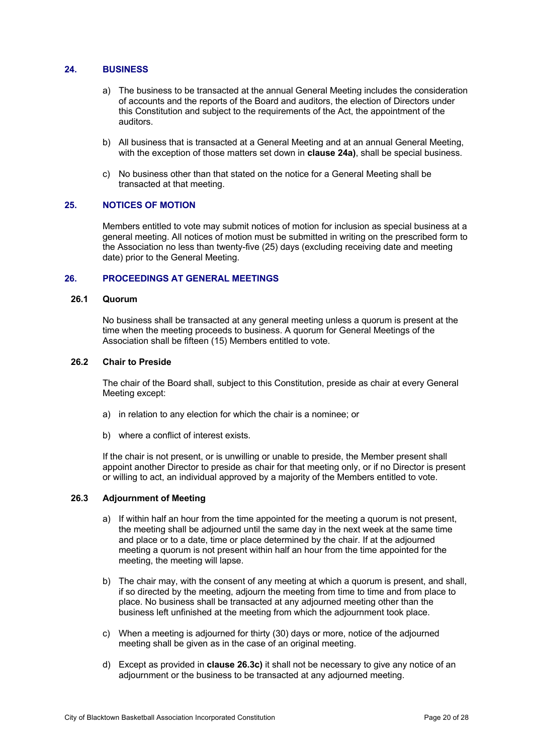# **24. BUSINESS**

- a) The business to be transacted at the annual General Meeting includes the consideration of accounts and the reports of the Board and auditors, the election of Directors under this Constitution and subject to the requirements of the Act, the appointment of the auditors.
- b) All business that is transacted at a General Meeting and at an annual General Meeting, with the exception of those matters set down in **clause 24a)**, shall be special business.
- c) No business other than that stated on the notice for a General Meeting shall be transacted at that meeting.

#### **25. NOTICES OF MOTION**

Members entitled to vote may submit notices of motion for inclusion as special business at a general meeting. All notices of motion must be submitted in writing on the prescribed form to the Association no less than twenty-five (25) days (excluding receiving date and meeting date) prior to the General Meeting.

#### **26. PROCEEDINGS AT GENERAL MEETINGS**

#### **26.1 Quorum**

No business shall be transacted at any general meeting unless a quorum is present at the time when the meeting proceeds to business. A quorum for General Meetings of the Association shall be fifteen (15) Members entitled to vote.

#### **26.2 Chair to Preside**

The chair of the Board shall, subject to this Constitution, preside as chair at every General Meeting except:

- a) in relation to any election for which the chair is a nominee; or
- b) where a conflict of interest exists.

If the chair is not present, or is unwilling or unable to preside, the Member present shall appoint another Director to preside as chair for that meeting only, or if no Director is present or willing to act, an individual approved by a majority of the Members entitled to vote.

# **26.3 Adjournment of Meeting**

- a) If within half an hour from the time appointed for the meeting a quorum is not present, the meeting shall be adjourned until the same day in the next week at the same time and place or to a date, time or place determined by the chair. If at the adjourned meeting a quorum is not present within half an hour from the time appointed for the meeting, the meeting will lapse.
- b) The chair may, with the consent of any meeting at which a quorum is present, and shall, if so directed by the meeting, adjourn the meeting from time to time and from place to place. No business shall be transacted at any adjourned meeting other than the business left unfinished at the meeting from which the adjournment took place.
- c) When a meeting is adjourned for thirty (30) days or more, notice of the adjourned meeting shall be given as in the case of an original meeting.
- d) Except as provided in **clause 26.3c)** it shall not be necessary to give any notice of an adjournment or the business to be transacted at any adjourned meeting.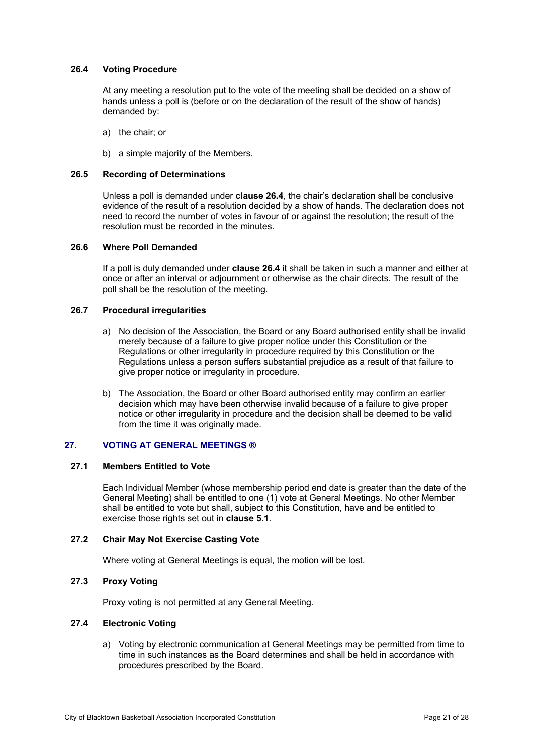# **26.4 Voting Procedure**

At any meeting a resolution put to the vote of the meeting shall be decided on a show of hands unless a poll is (before or on the declaration of the result of the show of hands) demanded by:

- a) the chair; or
- b) a simple majority of the Members.

#### **26.5 Recording of Determinations**

Unless a poll is demanded under **clause 26.4**, the chair's declaration shall be conclusive evidence of the result of a resolution decided by a show of hands. The declaration does not need to record the number of votes in favour of or against the resolution; the result of the resolution must be recorded in the minutes.

#### **26.6 Where Poll Demanded**

If a poll is duly demanded under **clause 26.4** it shall be taken in such a manner and either at once or after an interval or adjournment or otherwise as the chair directs. The result of the poll shall be the resolution of the meeting.

# **26.7 Procedural irregularities**

- a) No decision of the Association, the Board or any Board authorised entity shall be invalid merely because of a failure to give proper notice under this Constitution or the Regulations or other irregularity in procedure required by this Constitution or the Regulations unless a person suffers substantial prejudice as a result of that failure to give proper notice or irregularity in procedure.
- b) The Association, the Board or other Board authorised entity may confirm an earlier decision which may have been otherwise invalid because of a failure to give proper notice or other irregularity in procedure and the decision shall be deemed to be valid from the time it was originally made.

#### **27. VOTING AT GENERAL MEETINGS ®**

#### **27.1 Members Entitled to Vote**

Each Individual Member (whose membership period end date is greater than the date of the General Meeting) shall be entitled to one (1) vote at General Meetings. No other Member shall be entitled to vote but shall, subject to this Constitution, have and be entitled to exercise those rights set out in **clause 5.1**.

# **27.2 Chair May Not Exercise Casting Vote**

Where voting at General Meetings is equal, the motion will be lost.

#### **27.3 Proxy Voting**

Proxy voting is not permitted at any General Meeting.

#### **27.4 Electronic Voting**

a) Voting by electronic communication at General Meetings may be permitted from time to time in such instances as the Board determines and shall be held in accordance with procedures prescribed by the Board.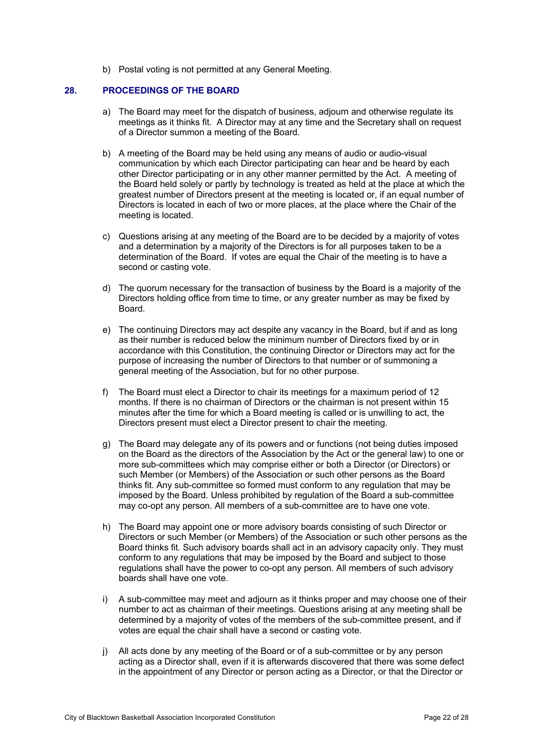b) Postal voting is not permitted at any General Meeting.

#### **28. PROCEEDINGS OF THE BOARD**

- a) The Board may meet for the dispatch of business, adjourn and otherwise regulate its meetings as it thinks fit. A Director may at any time and the Secretary shall on request of a Director summon a meeting of the Board.
- b) A meeting of the Board may be held using any means of audio or audio-visual communication by which each Director participating can hear and be heard by each other Director participating or in any other manner permitted by the Act. A meeting of the Board held solely or partly by technology is treated as held at the place at which the greatest number of Directors present at the meeting is located or, if an equal number of Directors is located in each of two or more places, at the place where the Chair of the meeting is located.
- c) Questions arising at any meeting of the Board are to be decided by a majority of votes and a determination by a majority of the Directors is for all purposes taken to be a determination of the Board. If votes are equal the Chair of the meeting is to have a second or casting vote.
- d) The quorum necessary for the transaction of business by the Board is a majority of the Directors holding office from time to time, or any greater number as may be fixed by Board.
- e) The continuing Directors may act despite any vacancy in the Board, but if and as long as their number is reduced below the minimum number of Directors fixed by or in accordance with this Constitution, the continuing Director or Directors may act for the purpose of increasing the number of Directors to that number or of summoning a general meeting of the Association, but for no other purpose.
- f) The Board must elect a Director to chair its meetings for a maximum period of 12 months. If there is no chairman of Directors or the chairman is not present within 15 minutes after the time for which a Board meeting is called or is unwilling to act, the Directors present must elect a Director present to chair the meeting.
- g) The Board may delegate any of its powers and or functions (not being duties imposed on the Board as the directors of the Association by the Act or the general law) to one or more sub-committees which may comprise either or both a Director (or Directors) or such Member (or Members) of the Association or such other persons as the Board thinks fit. Any sub-committee so formed must conform to any regulation that may be imposed by the Board. Unless prohibited by regulation of the Board a sub-committee may co-opt any person. All members of a sub-committee are to have one vote.
- h) The Board may appoint one or more advisory boards consisting of such Director or Directors or such Member (or Members) of the Association or such other persons as the Board thinks fit. Such advisory boards shall act in an advisory capacity only. They must conform to any regulations that may be imposed by the Board and subject to those regulations shall have the power to co-opt any person. All members of such advisory boards shall have one vote.
- i) A sub-committee may meet and adjourn as it thinks proper and may choose one of their number to act as chairman of their meetings. Questions arising at any meeting shall be determined by a majority of votes of the members of the sub-committee present, and if votes are equal the chair shall have a second or casting vote.
- j) All acts done by any meeting of the Board or of a sub-committee or by any person acting as a Director shall, even if it is afterwards discovered that there was some defect in the appointment of any Director or person acting as a Director, or that the Director or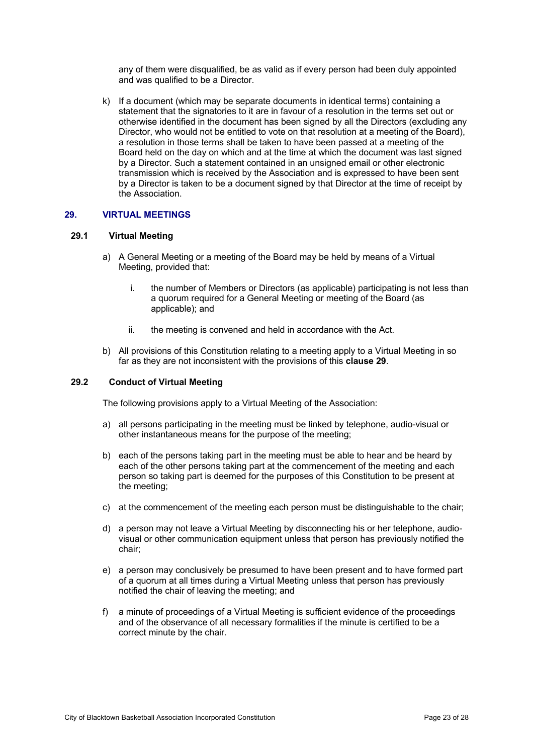any of them were disqualified, be as valid as if every person had been duly appointed and was qualified to be a Director.

k) If a document (which may be separate documents in identical terms) containing a statement that the signatories to it are in favour of a resolution in the terms set out or otherwise identified in the document has been signed by all the Directors (excluding any Director, who would not be entitled to vote on that resolution at a meeting of the Board), a resolution in those terms shall be taken to have been passed at a meeting of the Board held on the day on which and at the time at which the document was last signed by a Director. Such a statement contained in an unsigned email or other electronic transmission which is received by the Association and is expressed to have been sent by a Director is taken to be a document signed by that Director at the time of receipt by the Association.

#### **29. VIRTUAL MEETINGS**

#### **29.1 Virtual Meeting**

- a) A General Meeting or a meeting of the Board may be held by means of a Virtual Meeting, provided that:
	- i. the number of Members or Directors (as applicable) participating is not less than a quorum required for a General Meeting or meeting of the Board (as applicable); and
	- ii. the meeting is convened and held in accordance with the Act.
- b) All provisions of this Constitution relating to a meeting apply to a Virtual Meeting in so far as they are not inconsistent with the provisions of this **clause 29**.

#### **29.2 Conduct of Virtual Meeting**

The following provisions apply to a Virtual Meeting of the Association:

- a) all persons participating in the meeting must be linked by telephone, audio-visual or other instantaneous means for the purpose of the meeting;
- b) each of the persons taking part in the meeting must be able to hear and be heard by each of the other persons taking part at the commencement of the meeting and each person so taking part is deemed for the purposes of this Constitution to be present at the meeting;
- c) at the commencement of the meeting each person must be distinguishable to the chair;
- d) a person may not leave a Virtual Meeting by disconnecting his or her telephone, audiovisual or other communication equipment unless that person has previously notified the chair;
- e) a person may conclusively be presumed to have been present and to have formed part of a quorum at all times during a Virtual Meeting unless that person has previously notified the chair of leaving the meeting; and
- f) a minute of proceedings of a Virtual Meeting is sufficient evidence of the proceedings and of the observance of all necessary formalities if the minute is certified to be a correct minute by the chair.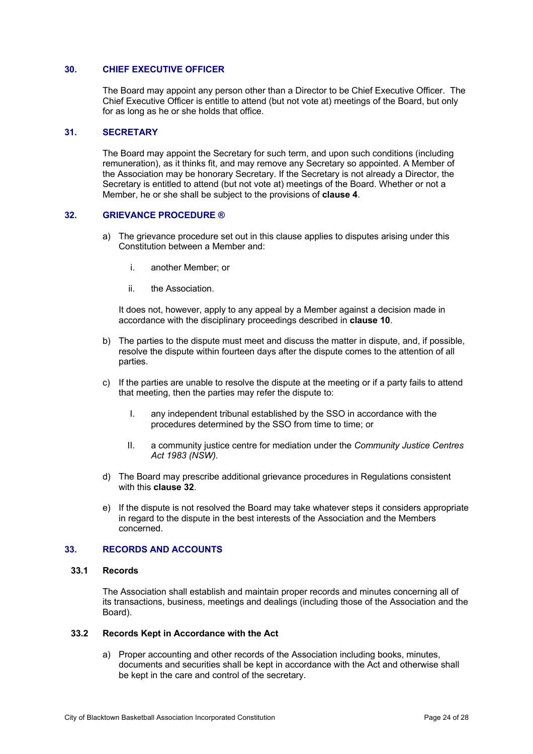# **30. CHIEF EXECUTIVE OFFICER**

The Board may appoint any person other than a Director to be Chief Executive Officer. The Chief Executive Officer is entitle to attend (but not vote at) meetings of the Board, but only for as long as he or she holds that office.

#### **31. SECRETARY**

The Board may appoint the Secretary for such term, and upon such conditions (including remuneration), as it thinks fit, and may remove any Secretary so appointed. A Member of the Association may be honorary Secretary. If the Secretary is not already a Director, the Secretary is entitled to attend (but not vote at) meetings of the Board. Whether or not a Member, he or she shall be subject to the provisions of **clause 4**.

#### **32. GRIEVANCE PROCEDURE ®**

- a) The grievance procedure set out in this clause applies to disputes arising under this Constitution between a Member and:
	- i. another Member; or
	- ii. the Association.

It does not, however, apply to any appeal by a Member against a decision made in accordance with the disciplinary proceedings described in **clause 10**.

- b) The parties to the dispute must meet and discuss the matter in dispute, and, if possible, resolve the dispute within fourteen days after the dispute comes to the attention of all parties.
- c) If the parties are unable to resolve the dispute at the meeting or if a party fails to attend that meeting, then the parties may refer the dispute to:
	- I. any independent tribunal established by the SSO in accordance with the procedures determined by the SSO from time to time; or
	- II. a community justice centre for mediation under the *Community Justice Centres Act 1983 (NSW).*
- d) The Board may prescribe additional grievance procedures in Regulations consistent with this **clause 32**.
- e) If the dispute is not resolved the Board may take whatever steps it considers appropriate in regard to the dispute in the best interests of the Association and the Members concerned.

### **33. RECORDS AND ACCOUNTS**

#### **33.1 Records**

The Association shall establish and maintain proper records and minutes concerning all of its transactions, business, meetings and dealings (including those of the Association and the Board).

#### **33.2 Records Kept in Accordance with the Act**

a) Proper accounting and other records of the Association including books, minutes, documents and securities shall be kept in accordance with the Act and otherwise shall be kept in the care and control of the secretary.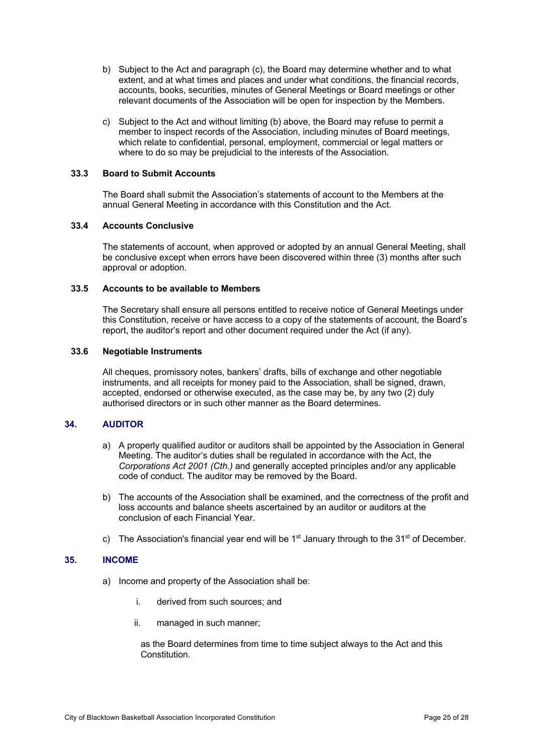- b) Subject to the Act and paragraph (c), the Board may determine whether and to what extent, and at what times and places and under what conditions, the financial records, accounts, books, securities, minutes of General Meetings or Board meetings or other relevant documents of the Association will be open for inspection by the Members.
- c) Subject to the Act and without limiting (b) above, the Board may refuse to permit a member to inspect records of the Association, including minutes of Board meetings, which relate to confidential, personal, employment, commercial or legal matters or where to do so may be prejudicial to the interests of the Association.

#### **33.3 Board to Submit Accounts**

The Board shall submit the Association's statements of account to the Members at the annual General Meeting in accordance with this Constitution and the Act.

#### **33.4 Accounts Conclusive**

The statements of account, when approved or adopted by an annual General Meeting, shall be conclusive except when errors have been discovered within three (3) months after such approval or adoption.

#### **33.5 Accounts to be available to Members**

The Secretary shall ensure all persons entitled to receive notice of General Meetings under this Constitution, receive or have access to a copy of the statements of account, the Board's report, the auditor's report and other document required under the Act (if any).

#### **33.6 Negotiable Instruments**

All cheques, promissory notes, bankers' drafts, bills of exchange and other negotiable instruments, and all receipts for money paid to the Association, shall be signed, drawn, accepted, endorsed or otherwise executed, as the case may be, by any two (2) duly authorised directors or in such other manner as the Board determines.

#### **34. AUDITOR**

- a) A properly qualified auditor or auditors shall be appointed by the Association in General Meeting. The auditor's duties shall be regulated in accordance with the Act, the *Corporations Act 2001 (Cth.)* and generally accepted principles and/or any applicable code of conduct. The auditor may be removed by the Board.
- b) The accounts of the Association shall be examined, and the correctness of the profit and loss accounts and balance sheets ascertained by an auditor or auditors at the conclusion of each Financial Year.
- c) The Association's financial year end will be  $1<sup>st</sup>$  January through to the  $31<sup>st</sup>$  of December.

#### **35. INCOME**

- a) Income and property of the Association shall be:
	- i. derived from such sources; and
	- ii. managed in such manner;

as the Board determines from time to time subject always to the Act and this **Constitution**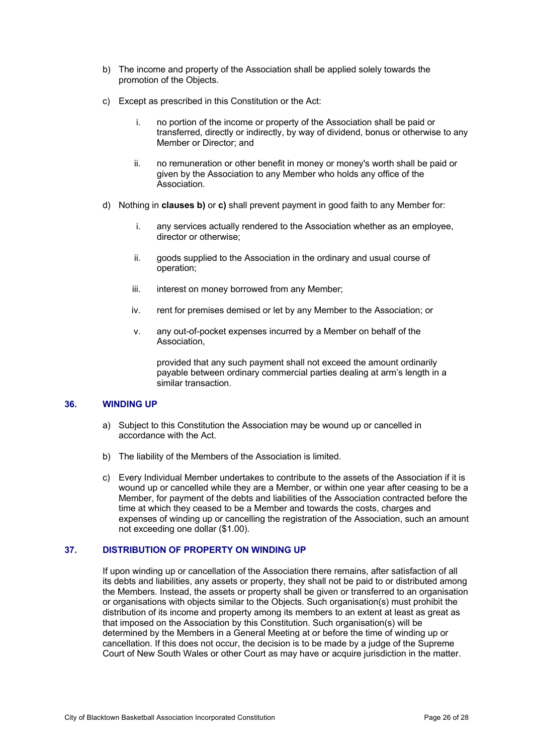- b) The income and property of the Association shall be applied solely towards the promotion of the Objects.
- c) Except as prescribed in this Constitution or the Act:
	- i. no portion of the income or property of the Association shall be paid or transferred, directly or indirectly, by way of dividend, bonus or otherwise to any Member or Director; and
	- ii. no remuneration or other benefit in money or money's worth shall be paid or given by the Association to any Member who holds any office of the Association.
- d) Nothing in **clauses b)** or **c)** shall prevent payment in good faith to any Member for:
	- i. any services actually rendered to the Association whether as an employee, director or otherwise;
	- ii. goods supplied to the Association in the ordinary and usual course of operation;
	- iii. interest on money borrowed from any Member;
	- iv. rent for premises demised or let by any Member to the Association; or
	- v. any out-of-pocket expenses incurred by a Member on behalf of the Association,

provided that any such payment shall not exceed the amount ordinarily payable between ordinary commercial parties dealing at arm's length in a similar transaction.

# **36. WINDING UP**

- a) Subject to this Constitution the Association may be wound up or cancelled in accordance with the Act.
- b) The liability of the Members of the Association is limited.
- c) Every Individual Member undertakes to contribute to the assets of the Association if it is wound up or cancelled while they are a Member, or within one year after ceasing to be a Member, for payment of the debts and liabilities of the Association contracted before the time at which they ceased to be a Member and towards the costs, charges and expenses of winding up or cancelling the registration of the Association, such an amount not exceeding one dollar (\$1.00).

# **37. DISTRIBUTION OF PROPERTY ON WINDING UP**

If upon winding up or cancellation of the Association there remains, after satisfaction of all its debts and liabilities, any assets or property, they shall not be paid to or distributed among the Members. Instead, the assets or property shall be given or transferred to an organisation or organisations with objects similar to the Objects. Such organisation(s) must prohibit the distribution of its income and property among its members to an extent at least as great as that imposed on the Association by this Constitution. Such organisation(s) will be determined by the Members in a General Meeting at or before the time of winding up or cancellation. If this does not occur, the decision is to be made by a judge of the Supreme Court of New South Wales or other Court as may have or acquire jurisdiction in the matter.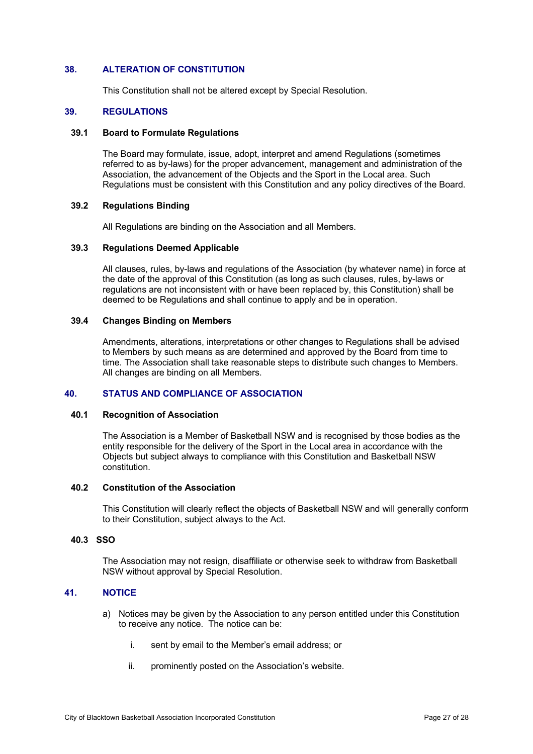#### **38. ALTERATION OF CONSTITUTION**

This Constitution shall not be altered except by Special Resolution.

#### **39. REGULATIONS**

#### **39.1 Board to Formulate Regulations**

The Board may formulate, issue, adopt, interpret and amend Regulations (sometimes referred to as by-laws) for the proper advancement, management and administration of the Association, the advancement of the Objects and the Sport in the Local area. Such Regulations must be consistent with this Constitution and any policy directives of the Board.

# **39.2 Regulations Binding**

All Regulations are binding on the Association and all Members.

#### **39.3 Regulations Deemed Applicable**

All clauses, rules, by-laws and regulations of the Association (by whatever name) in force at the date of the approval of this Constitution (as long as such clauses, rules, by-laws or regulations are not inconsistent with or have been replaced by, this Constitution) shall be deemed to be Regulations and shall continue to apply and be in operation.

### **39.4 Changes Binding on Members**

Amendments, alterations, interpretations or other changes to Regulations shall be advised to Members by such means as are determined and approved by the Board from time to time. The Association shall take reasonable steps to distribute such changes to Members. All changes are binding on all Members.

### **40. STATUS AND COMPLIANCE OF ASSOCIATION**

#### **40.1 Recognition of Association**

The Association is a Member of Basketball NSW and is recognised by those bodies as the entity responsible for the delivery of the Sport in the Local area in accordance with the Objects but subject always to compliance with this Constitution and Basketball NSW constitution.

#### **40.2 Constitution of the Association**

This Constitution will clearly reflect the objects of Basketball NSW and will generally conform to their Constitution, subject always to the Act.

#### **40.3 SSO**

The Association may not resign, disaffiliate or otherwise seek to withdraw from Basketball NSW without approval by Special Resolution.

# **41. NOTICE**

- a) Notices may be given by the Association to any person entitled under this Constitution to receive any notice. The notice can be:
	- i. sent by email to the Member's email address; or
	- ii. prominently posted on the Association's website.